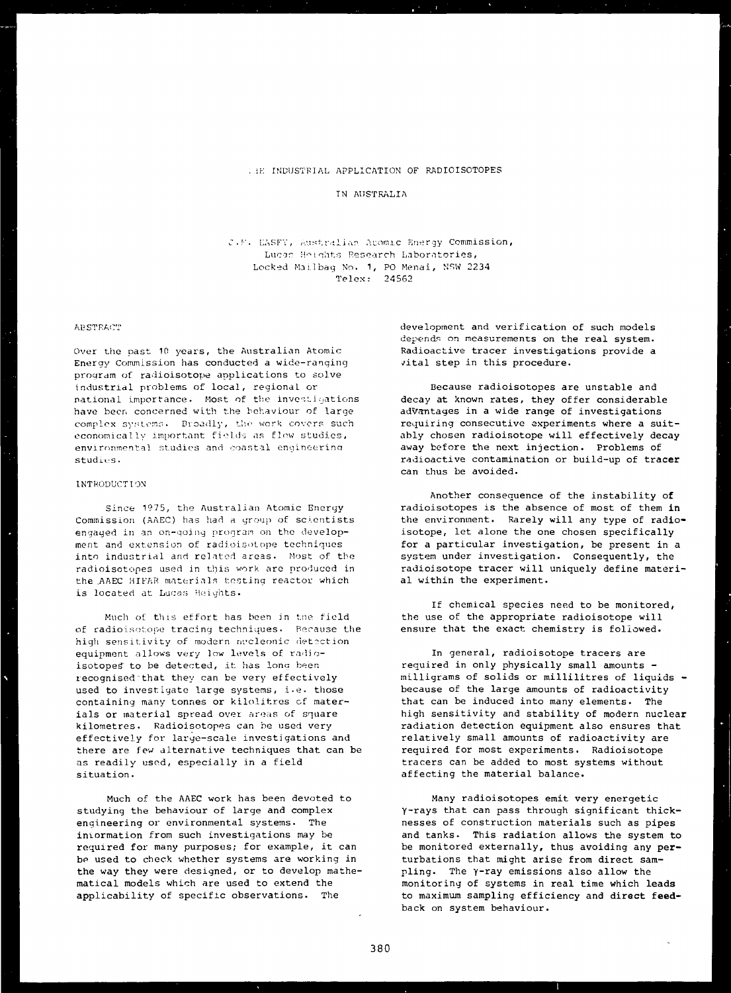### . !K INDUSTRIAL APPLICATION OF RADIOISOTOPES

## TN AUSTRALIA

C.F. EASFY, Australian Acomic Energy Commission, Lucas Heights Research Laboratories, Locked Mailbag No. 1, PO Menai, NSW 2234 Telex: 24562

### **ABSTRACT**

Over the past 10 years, the Australian Atomic Energy Commission has conducted a wide-ranging program of radioisotope applications to solve industrial problems of local, regional or national importance. Most of the investigations have been concerned with the behaviour of large complex systems. Broadly, the work covers such economically important fields as flow studies, environmental studies and coastal enyineerina studies.

### INTRODUCTION

Since 1975, the Australian Atomic Energy Commission (AAEC) has had a group of scientists engaged in an on-going program on the development and extension of radioisotope techniques into industrial and related areas. Most of the radioisotopes used in this work are produced in the .AAEC HIFAR materials testing reactor which is located at Lucas Heights.

Much of this effort has been in tne field of radioisotope tracing techniques. Because the high sensitivity of modern nucleonic detection equipment allows very low levels of radioisotopes to be detected, it has long been recognised"that they can be very effectively used to investigate large systems, i.e. those containing many tonnes or kilolitres cf materials or material spread over areas of square kilometres. Radioisotopes can be used very effectively for large-scale investigations and there are few alternative techniques that can be as readily used, especially in a field situation.

Much of the AAEC work has been devoted to studying the behaviour of large and complex engineering or environmental systems. The information from such investigations may be required for many purposes; for example, it can be used to check whether systems are working in the way they were designed, or to develop mathematical models which are used to extend the applicability of specific observations. The

development and verification of such models depends on measurements on the real system. Radioactive tracer investigations provide a vital step in this procedure.

Because radioisotopes are unstable and decay at known rates, they offer considerable advantages in a wide range of investigations requiring consecutive experiments where a suitably chosen radioisotope will effectively **decay** away before the next injection. Problems **of** radioactive contamination or build-up **of tracer** can thus be avoided.

Another consequence of the instability **of** radioisotopes is **the** absence **of most of them in** the environment. **Rarely will any type of radio**isotope, let alone the one **chosen specifically** for a particular investigation, be present **in** a system under investigation. Consequently, **the** radioisotope tracer **will** uniquely **define material** within the experiment.

If chemical species need **to be monitored,** the use of the **appropriate radioisotope will** ensure that the exact chemistry is followed.

In general, radioisotope tracers are required in only **physically small amounts** milligrams of solids **or millilitres of liquids** because of the **large amounts of radioactivity** that **can be induced into many elements. The** high sensitivity and **stability of modern nuclear** radiation detection **equipment also ensures that** relatively small amounts **of radioactivity are** required for most experiments. Radioisotope tracers can be added **to most systems without affecting** the **material balance.**

**Many radioisotopes emit very energetic Y-rays that can pass through significant thicknesses of construction materials such as pipes and tanks. This radiation allows the system to be monitored externally, thus avoiding any perturbations** that **might arise from direct sampling.** The **y-ray emissions also allow the** monitoring **of systems in real time which leads to maximum sampling efficiency and direct feedback on system behaviour.**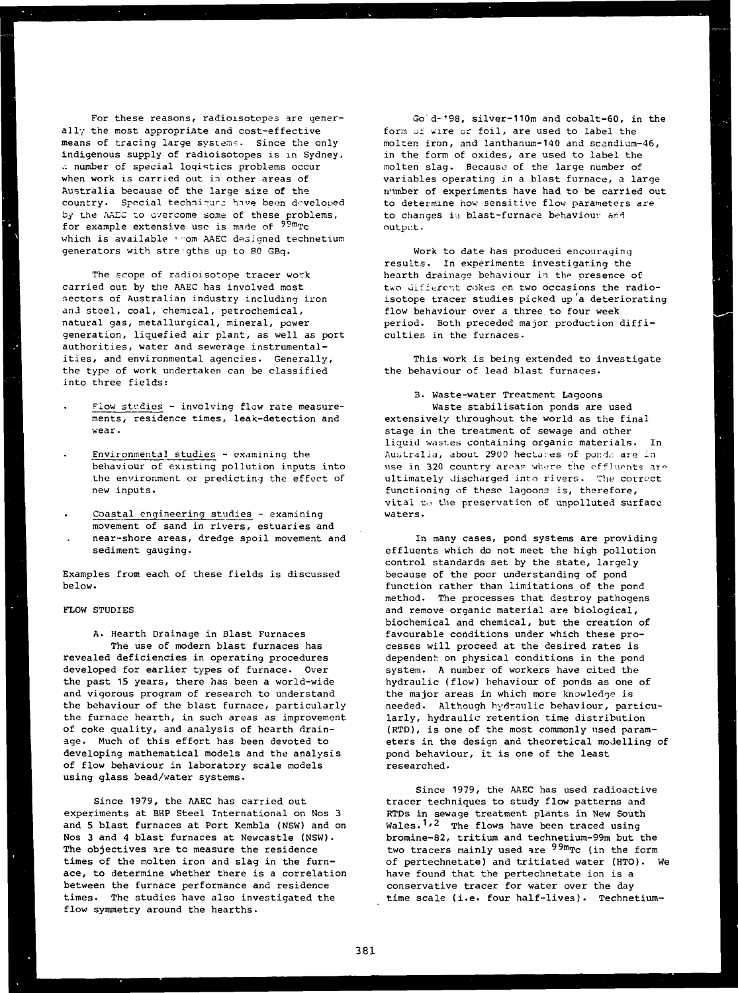For these reasons, radioisotopes are generally the most appropriate and cost-effective means of tracing large systems. Since the only indigenous supply of radioisotopes is in Sydney, a number of special logistics problems occur when work is carried out in other areas of Australia because of the large size of the country. Special techniques have been developed by the AADC to overcome some of these problems, for example extensive use is made of <sup>99m</sup>Tc which is available '•om AAEC designed technetium generators with stregths up to 80 GBq.

The scope of radioisotope tracer work carried out by the AAEC has involved most sectors of Australian industry including iron anJ steel, coal, chemical, petrochemical, natural gas, metallurgical, mineral, power generation, liquefied air plant, as well as port authorities, water and sewerage instrumentalities, and environmental agencies. Generally, the type of work undertaken can be classified into three fields:

- Flow studies involving flow rate measurements, residence times, leak-detection and wear.
- Environmental studies examining the behaviour of existing pollution inputs into the environment or predicting the effect of new inputs.
- Coastal engineering studies examining movement of sand in rivers, estuaries and near-shore areas, dredge spoil movement and sediment gauging.

Examples from each of these fields is discussed below.

# FLOW STUDIES

A. Hearth Drainage in Blast Furnaces The use of modern blast furnaces has revealed deficiencies in operating procedures developed for earlier types of furnace. Over the past 15 years, there has been a world-wide and vigorous program of research to understand the behaviour of the blast furnace, particularly the furnace hearth, in such areas as improvement of coke quality, and analysis of hearth drainage. Much of this effort has been devoted to developing mathematical models and the analysis of flow behaviour in laboratory scale models using glass bead/water systems.

Since 1979, the AAEC has carried out experiments at BHP Steel International on Nos 3 and 5 blast furnaces at Port Kembla (NSW) and on Nos 3 and 4 blast furnaces at Newcastle (NSW). The objectives are to measure the residence times of the molten iron and slag in the furnace, to determine whether there is a correlation between the furnace performance and residence times. The studies have also investigated the flow symmetry around the hearths.

Go d-'98, silver-110m and cobalt-60, in the form of wire or foil, are used to label the molten iron, and lanthanum-140 and scandium-46, in the form of oxides, are used to label the molten slag. Because of the large number of variables operating in a blast furnace, a large number of experiments have had to be carried out to determine how sensitive flow parameters are to changes in blast-furnace behaviour and output.

Work to date has produced encouraging results. In experiments investigating the hearth drainage behaviour in the presence of two different cokes on two occasions the radioisotope tracer studies picked up'a deteriorating flow behaviour over a three.to four week period. Both preceded major production difficulties in the furnaces.

This work is being extended to investigate the behaviour of lead blast furnaces.

B. Waste-water Treatment Lagoons Waste stabilisation ponds are used extensively throughout the world as the final stage in the treatment of sewage and other liquid wastes containing organic materials. In Australia, about 2900 hectares of ponds are inuse in 320 country areas where the effluents are ultimately discharged into rivers. The correct functioning of these lagoons is, therefore, vital to the preservation of unpolluted surface waters.

In many cases, pond systems are providing effluents which do not meet the high pollution control standards set by the state, largely because of the poor understanding of pond function rather than limitations of the pond method. The processes that destroy pathogens and remove organic material are biological, biochemical and chemical, but the creation of favourable conditions under which these processes will proceed at the desired rates is dependent on physical conditions in the pond system. A number of workers have cited the hydraulic (flow) behaviour of ponds as one of the major areas in which more knowledge is needed. Although hydraulic behaviour, particularly, hydraulic retention time distribution (RTD), is one of the most commonly used parameters in the design and theoretical modelling of pond behaviour, it is one of the least researched.

Since 1979, the AAEC has used radioactive tracer techniques to study flow patterns and RTDs in sewage treatment plants in New South Wales.<sup>1,2</sup> The flows have been traced using bromine-82, tritium and technetium-99m but the two tracers mainly used are <sup>99m</sup>Tc (in the form of pertechnetate) and tritiated water (HTO). We have found that the pertechnetate ion is a conservative tracer for water over the day time scale (i.e. four half-lives). Technetium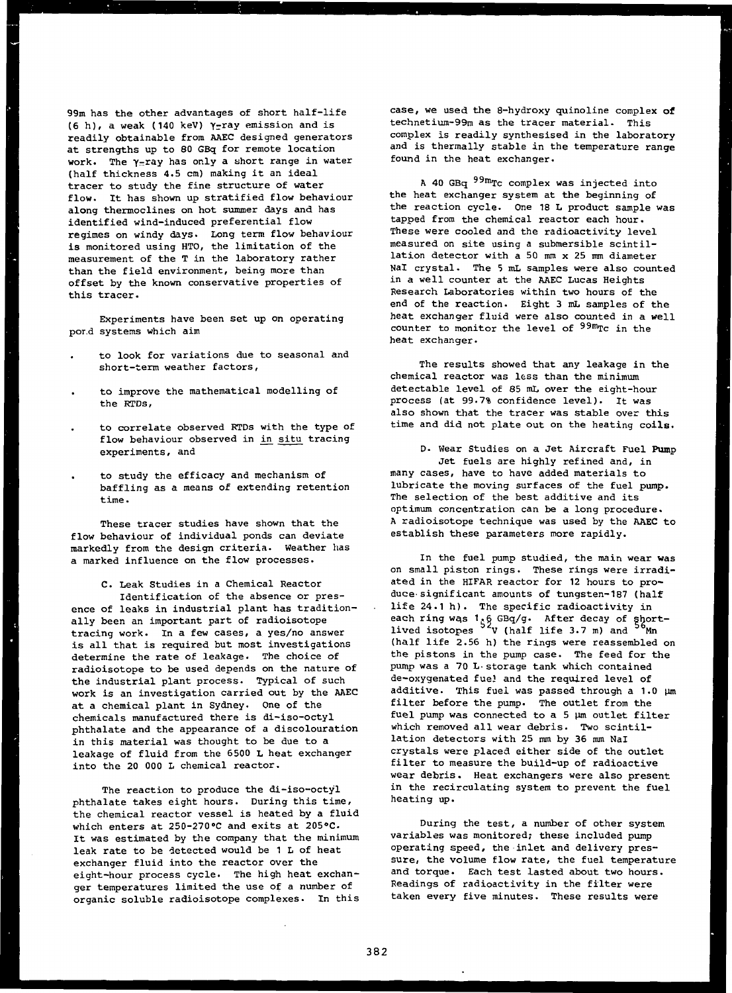99m has the other advantages of short half-life (6 h), a weak (140 keV)  $\gamma$ -ray emission and is readily obtainable from AAEC designed generators at strengths up to 80 GBq for remote location work. The  $\gamma$ -ray has only a short range in water (half thickness 4.5 cm) making it an ideal tracer to study the fine structure of water flow. It has shown up stratified flow behaviour along thermoclines on hot summer days and has identified wind-induced preferential flow regimes on windy days. Long term flow behaviour is monitored using HTO, the limitation of the measurement of the T in the laboratory rather than the field environment, being more than offset by the known conservative properties of this tracer.

Experiments have been set up on operating por.d systems which aim

- to look for variations due to seasonal and short-term weather factors,
- to improve the mathematical modelling of the RTDs,
- to correlate observed RTDs with the type of flow behaviour observed in in situ tracing experiments, and
- to study the efficacy and mechanism of baffling as a means of extending retention time.

These tracer studies have shown that the flow behaviour of individual ponds can deviate markedly from the design criteria. Weather has a marked influence on the flow processes.

C. Leak Studies in a Chemical Reactor Identification of the absence or presence of leaks in industrial plant has traditionally been an important part of radioisotope tracing work. In a few cases, a yes/no answer is all that is required but most investigations determine the rate of leakage. The choice of radioisotope to be used depends on the nature of the industrial plant process. Typical of such work is an investigation carried out by the AAEC at a chemical plant in Sydney. One of the chemicals manufactured there is di-iso-octyl phthalate and the appearance of a discolouration in this material was thought to be due to a leakage of fluid from the 6500 L heat exchanger into the 20 000 L chemical reactor.

The reaction to produce the di-iso-octyl phthalate takes eight hours. During this time, the chemical reactor vessel is heated by a fluid which enters at 250-270°C and exits at 205°C. It was estimated by the company that the minimum leak rate to be detected would be 1 L of heat exchanger fluid into the reactor over the eight-hour process cycle. The high heat exchanger temperatures limited the use of a number of organic soluble radioisotope complexes. In this case, we used the 8-hydroxy quinoline complex of technetium-99m as the tracer material. This complex is readily synthesised in the laboratory and is thermally stable in the temperature range found in the heat exchanger.

A 40 GBq <sup>99m</sup>Tc complex was injected into the heat exchanger system at the beginning of the reaction cycle. One 18 L product sample was tapped from the chemical reactor each hour. These were cooled and the radioactivity level measured on site using a submersible scintillation detector with a 50 mm x 25 mm diameter Nal crystal. The 5 mL samples were also counted in a well counter at the AAEC Lucas Heights Research Laboratories within two hours of the end of the reaction. Eight 3 mL samples of the heat exchanger fluid were also counted in a well counter to monitor the level of <sup>99m</sup>Tc in the heat exchanger.

The results showed that any leakage in the chemical reactor was less than the minimum detectable level of 85 mL over the eight-hour process (at 99.7% confidence level). It was also shown that the tracer was stable over this time and did not plate out on the heating coils.

D- Wear Studies on a Jet Aircraft Fuel Pump Jet fuels are highly refined and, in many cases, have to have added materials to lubricate the moving surfaces of the fuel pump. The selection of the best additive and its optimum concentration can be a long procedure. A radioisotope technique was used by the AAEC to establish these parameters more rapidly.

In the fuel pump studied, the main wear was on small piston rings. These rings were irradiated in the HIFAR reactor for 12 hours to produce-significant amounts of tungsten-187 (half life 24.1 h). The specific radioactivity in each ring was 1.6 GBq/g. After decay of shortlived isotopes <sup>92</sup>V (half life 3.7 m) and <sup>50</sup>Mn (half life 2.56 h) the rings were reassembled on the pistons in the pump case. The feed for the pump was a 70 L-storage tank which contained de-oxygenated fuel and the required level of additive. This fuel was passed through a  $1.0 \mu m$ filter before the pump. The outlet from the fuel pump was connected to a  $5 \mu m$  outlet filter which removed all wear debris. Two scintillation detectors with 25 mm by 36 mm Nal crystals were placed either side of the outlet filter to measure the build-up of radioactive wear debris. Heat exchangers were also present in the recirculating system to prevent the fuel heating up.

During the test, a number of other system variables was monitored; these included pump operating speed, the inlet and delivery pressure, the volume flow rate, the fuel temperature and torque. Each test lasted about two hours. Readings of radioactivity in the filter were taken every five minutes. These results were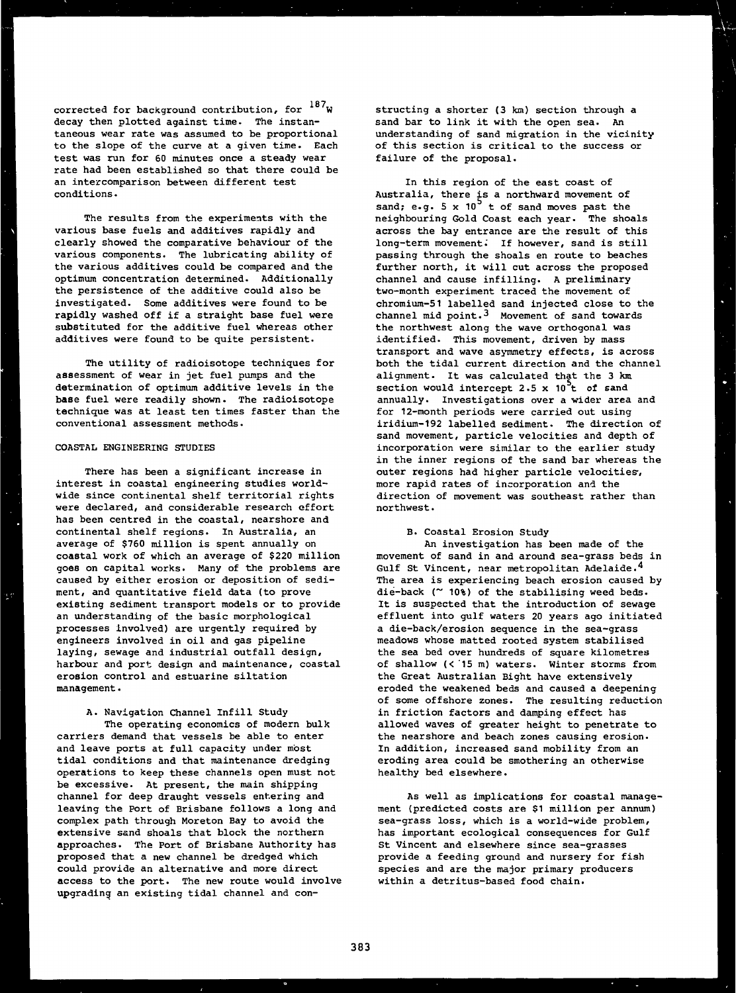187. corrected for background contribution, for William decay then plotted against time. The instan-<br>taneous wear rate was assumed to be proportional to the slope of the curve at a given time. Each test was run for 60 minutes once a steady wear rate had been established so that there could be rate had been established so that there could be an intercomparison between different test conditions.

The results from the experiments with the various base fuels and additives rapidly and clearly showed the comparative behaviour of the various components. The lubricating ability of the various additives could be compared and the optimum concentration determined. Additionally the persistence of the additive could also be investigated. Some additives were found to be rapidly washed off if a straight base fuel were substituted for the additive fuel whereas other additives were found to be quite persistent.

The utility of radioisotope techniques for assessment of wear in jet fuel pumps and the determination of optimum additive levels in the base fuel were readily shown. The radioisotope technique was at least ten times faster than the conventional assessment methods.

### COASTAL ENGINEERING STUDIES

is e

There has been a significant increase in interest in coastal engineering studies worldwide since continental shelf territorial rights were declared, and considerable research effort has been centred in the coastal, nearshore and continental shelf regions. In Australia, an average of \$760 million is spent annually on coastal work of which an average of \$220 million goes on capital works. Many of the problems are caused by either erosion or deposition of sediment, and quantitative field data (to prove existing sediment transport models or to provide an understanding of the basic morphological processes involved) are urgently required by engineers involved in oil and gas pipeline laying, sewage and industrial outfall design, harbour and port design and maintenance, coastal erosion control and estuarine siltation management.

### A. Navigation Channel Infill Study

The operating economics of modern bulk carriers demand that vessels be able to enter and leave ports at full capacity under most tidal conditions and that maintenance dredging operations to keep these channels open must not be excessive. At present, the main shipping channel for deep draught vessels entering and leaving the Port of Brisbane follows a long and complex path through Moreton Bay to avoid the extensive sand shoals that block the northern approaches. The Port of Brisbane Authority has proposed that a new channel be dredged which could provide an alternative and more direct access to the port. The new route would involve upgrading an existing tidal channel and constructing a shorter (3 km) section through a sand bar to link it with the open sea. An understanding of sand migration in the vicinity of this section is critical to the success or failure of the proposal.

In this region of the east coast of Australia, there is a northward movement of sand; e.g.  $5 \times 10^{-7}$  t of sand moves past the neighbouring Gold Coast each year. The shoals across the bay entrance are the result of this long-term movement. If however, sand is still passing through the shoals en route to beaches further north, it will cut across the proposed channel and cause infilling. A preliminary two-month experiment traced the movement of chromium-51 labelled sand injected close to the channel mid point. $3$  Movement of sand towards the northwest along the wave orthogonal was identified. This movement, driven by mass transport and wave asymmetry effects, is across both the tidal current direction and the channel alignment. It was calculated that the 3 km section would intercept 2.5 x  $10^2$ t of sand annually. Investigations over a wider area and for 12-month periods were carried out using iridium-192 labelled sediment. The direction of sand movement, particle velocities and depth of incorporation were similar to the earlier study in the inner regions of the sand bar whereas the outer regions had higher particle velocities', more rapid rates of incorporation and the direction of movement was southeast rather than northwest.

# B. Coastal Erosion Study

An investigation has been made of the movement of sand in and around sea-grass beds in Gulf St Vincent, near metropolitan Adelaide.<sup>4</sup> The area is experiencing beach erosion caused by die-back (~ 10%) of the stabilising weed beds. It is suspected that the introduction of sewage effluent into gulf waters 20 years ago initiated a die-back/erosion sequence in the sea-grass meadows whose matted rooted system stabilised the sea bed over hundreds of square kilometres of shallow (< '15 m) waters. Winter storms from the Great Australian Bight have extensively eroded the weakened beds and caused a deepening of some offshore zones. The resulting reduction in friction factors and damping effect has allowed waves of greater height to penetrate to the nearshore and beach zones causing erosion. In addition, increased sand mobility from an eroding area could be smothering an otherwise healthy bed elsewhere.

As well as implications for coastal management (predicted costs are \$1 million per annum) sea-grass loss, which is a world-wide problem, has important ecological consequences for Gulf St Vincent and elsewhere since sea-grasses provide a feeding ground and nursery for fish species and are the major primary producers within a detritus-based food chain.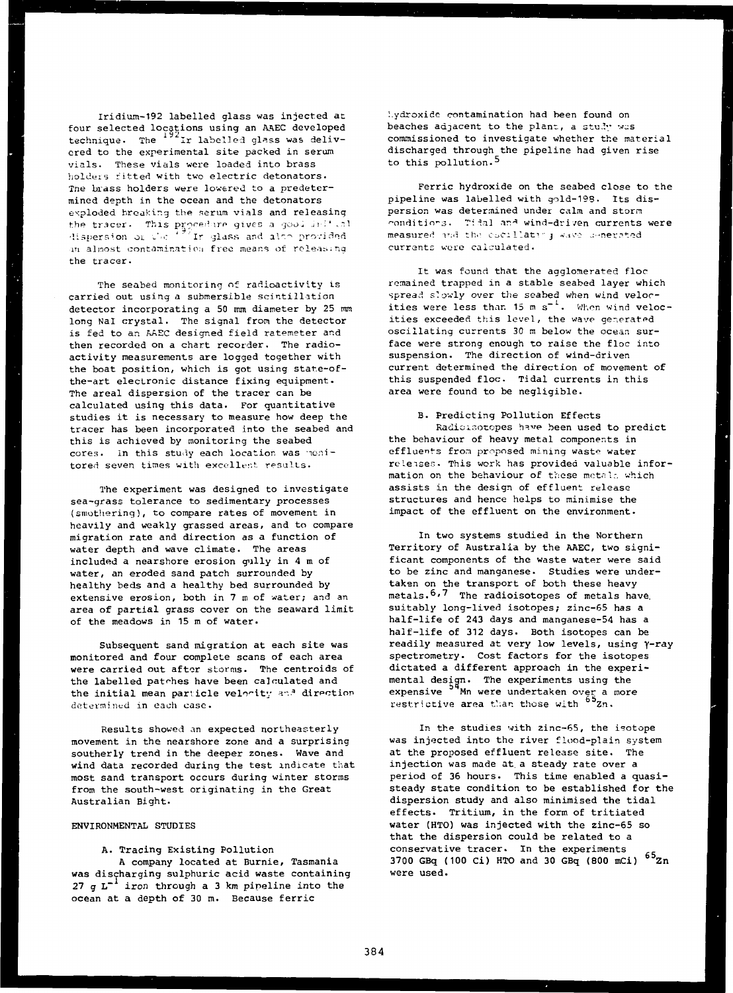Iridium-192 labelled glass was injected at four selected locations using an AAEC developed technique. The ''Ir labelled glass was delivered to the experimental site packed in serum vials. These vials were loaded into brass holders fitted with two electric detonators. Tne brass holders were lowered to a predetermined depth in the ocean and the detonators exploded breaking the serum vials and releasing the tracer. This procedure gives a goo. .11 '.5'  ${\tt lisversion}$  or the  $^{\ast\,\overline{\sigma}^{\,\prime}}$  In glass and alon provided in almost contamination free means of releasing the tracer.

The seabed monitoring of radioactivity is carried out using a submersible scintillation detector incorporating a 50 mm diameter by 25 mm long Nal crystal. The signal from the detector is fed to an AAEC designed field ratemeter and then recorded on a chart recorder. The radioactivity measurements are logged together with the boat position, which is got using state-ofthe-art electronic distance fixing equipment. The areal dispersion of the tracer can be calculated using this data. For quantitative studies it is necessary to measure how deep the tracer has been incorporated into the seabed and this is achieved by monitoring the seabed cores. In this study each location was monitored seven times with excellent results.

The experiment was designed to investigate sea-grass tolerance to sedimentary processes (smothering), to compare rates of movement in heavily and weakly grassed areas, and to compare migration rate and direction as a function of water depth and wave climate. The areas included a nearshore erosion gully in 4 m of water, an eroded sand patch surrounded by healthy beds and a healthy bed surrounded by extensive erosion, both in 7 m of water; and an area of partial grass cover on the seaward limit of the meadows in 15 m of water.

Subsequent sand migration at each site was monitored and four complete scans of each area were carried out aftor storms. The centroids of the labelled patches have been calculated and the initial mean particle velocity and direction determined in each case.

Results showed an expected northeasterly movement in the nearshore zone and a surprising southerly trend in the deeper zones. Wave and wind data recorded during the test indicate that most sand transport occurs during winter storms from the south-west originating in the Great Australian Bight.

## ENVIRONMENTAL STUDIES

### A. Tracing Existing Pollution

A company located at Burnie, Tasmania was discharging sulphuric acid waste containing 27 g  $L^{-1}$  iron through a 3 km pipeline into the ocean at a depth of 30 m. Because ferric

l.ydroxide contamination had been found on beaches adjacent to the plant, a study was commissioned to investigate whether the material discharged through the pipeline had given rise to this pollution.<sup>5</sup>

Ferric hydroxide on the seabed close to the pipeline was labelled with gold-193. Its dispersion was determined under calm and storm ^onditio-s. T: ial ar.\* wind-dri /en currents were measured and the cacillating wave u-nerated currents were calculated.

It was found that the agglomerated floe remained trapped in a stable seabed layer which spread slowly over the seabed when wind velocities were less than 15 m  $s^{-1}$ . When wind velocities exceeded this level, the wave generated oscillating currents 30 m below the ocean surface were strong enough to raise the floc into suspension. The direction of wind-driven current determined the direction of movement of this suspended floe. Tidal currents in this area were found to be negligible.

## B. Predicting Pollution Effects

Radioisotopes have been used to predict the behaviour of heavy metal components in effluents from proposed mining waste water re leises. This work has provided valuable information on the behaviour of these metals which assists in the design of effluent release structures and hence helps to minimise the impact of the effluent on the environment.

In two systems studied in the Northern Territory of Australia by the AAEC, two significant components of the waste water were said to be zinc and manganese. Studies were undertaken on the transport of both these heavy metals.<sup>6,7</sup> The radioisotopes of metals have, suitably long-lived isotopes; zinc-65 has a half-life of 243 days and manganese-54 has a half-life of 312 days. Both isotopes can be readily measured at very low levels, using Y-ray spectrometry. Cost factors for the isotopes dictated a different approach in the experimental design. The experiments using the expensive <sup>54</sup>Mn were undertaken over a more restrictive area than those with <sup>65</sup>Zn.

In the studies with zinc-65, the isotope was injected into the river flood-plain system at the proposed effluent release site. The injection was made at a steady rate over a period of 36 hours. This time enabled a quasisteady state condition to be established for the dispersion study and also minimised the tidal effects. Tritium, in the form of tritiated water (HTO) was injected with the zinc-65 so that the dispersion could be related to a conservative tracer. In the experiments 3700 GBq (100 Ci) HTO and 30 GBq (800 mCi)  $^{65}$ Zn were used.